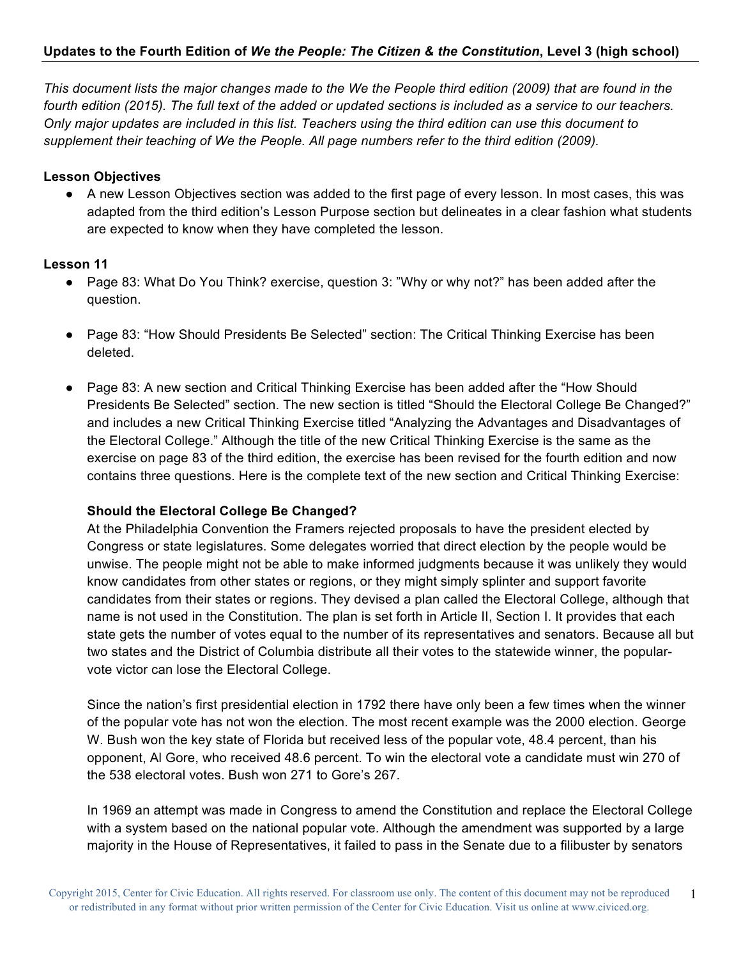*This document lists the major changes made to the We the People third edition (2009) that are found in the*  fourth edition (2015). The full text of the added or updated sections is included as a service to our teachers. *Only major updates are included in this list. Teachers using the third edition can use this document to supplement their teaching of We the People. All page numbers refer to the third edition (2009).*

### **Lesson Objectives**

● A new Lesson Objectives section was added to the first page of every lesson. In most cases, this was adapted from the third edition's Lesson Purpose section but delineates in a clear fashion what students are expected to know when they have completed the lesson.

#### **Lesson 11**

- Page 83: What Do You Think? exercise, question 3: "Why or why not?" has been added after the question.
- Page 83: "How Should Presidents Be Selected" section: The Critical Thinking Exercise has been deleted.
- Page 83: A new section and Critical Thinking Exercise has been added after the "How Should" Presidents Be Selected" section. The new section is titled "Should the Electoral College Be Changed?" and includes a new Critical Thinking Exercise titled "Analyzing the Advantages and Disadvantages of the Electoral College." Although the title of the new Critical Thinking Exercise is the same as the exercise on page 83 of the third edition, the exercise has been revised for the fourth edition and now contains three questions. Here is the complete text of the new section and Critical Thinking Exercise:

#### **Should the Electoral College Be Changed?**

At the Philadelphia Convention the Framers rejected proposals to have the president elected by Congress or state legislatures. Some delegates worried that direct election by the people would be unwise. The people might not be able to make informed judgments because it was unlikely they would know candidates from other states or regions, or they might simply splinter and support favorite candidates from their states or regions. They devised a plan called the Electoral College, although that name is not used in the Constitution. The plan is set forth in Article II, Section I. It provides that each state gets the number of votes equal to the number of its representatives and senators. Because all but two states and the District of Columbia distribute all their votes to the statewide winner, the popularvote victor can lose the Electoral College.

Since the nation's first presidential election in 1792 there have only been a few times when the winner of the popular vote has not won the election. The most recent example was the 2000 election. George W. Bush won the key state of Florida but received less of the popular vote, 48.4 percent, than his opponent, Al Gore, who received 48.6 percent. To win the electoral vote a candidate must win 270 of the 538 electoral votes. Bush won 271 to Gore's 267.

In 1969 an attempt was made in Congress to amend the Constitution and replace the Electoral College with a system based on the national popular vote. Although the amendment was supported by a large majority in the House of Representatives, it failed to pass in the Senate due to a filibuster by senators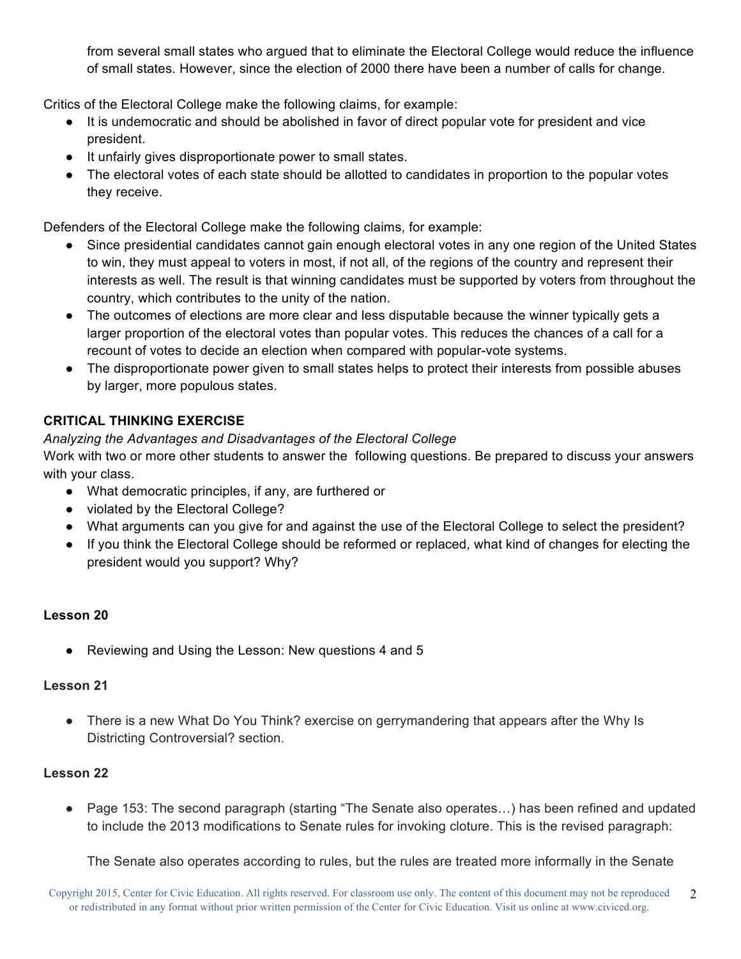from several small states who argued that to eliminate the Electoral College would reduce the influence of small states. However, since the election of 2000 there have been a number of calls for change.

Critics of the Electoral College make the following claims, for example:

- It is undemocratic and should be abolished in favor of direct popular vote for president and vice president.
- It unfairly gives disproportionate power to small states.
- The electoral votes of each state should be allotted to candidates in proportion to the popular votes they receive.

Defenders of the Electoral College make the following claims, for example:

- Since presidential candidates cannot gain enough electoral votes in any one region of the United States to win, they must appeal to voters in most, if not all, of the regions of the country and represent their interests as well. The result is that winning candidates must be supported by voters from throughout the country, which contributes to the unity of the nation.
- The outcomes of elections are more clear and less disputable because the winner typically gets a larger proportion of the electoral votes than popular votes. This reduces the chances of a call for a recount of votes to decide an election when compared with popular-vote systems.
- The disproportionate power given to small states helps to protect their interests from possible abuses by larger, more populous states.

# **CRITICAL THINKING EXERCISE**

## *Analyzing the Advantages and Disadvantages of the Electoral College*

Work with two or more other students to answer the following questions. Be prepared to discuss your answers with your class.

- What democratic principles, if any, are furthered or
- violated by the Electoral College?
- What arguments can you give for and against the use of the Electoral College to select the president?
- If you think the Electoral College should be reformed or replaced, what kind of changes for electing the president would you support? Why?

## **Lesson 20**

● Reviewing and Using the Lesson: New questions 4 and 5

## **Lesson 21**

• There is a new What Do You Think? exercise on gerrymandering that appears after the Why Is Districting Controversial? section.

## **Lesson 22**

● Page 153: The second paragraph (starting "The Senate also operates...) has been refined and updated to include the 2013 modifications to Senate rules for invoking cloture. This is the revised paragraph:

The Senate also operates according to rules, but the rules are treated more informally in the Senate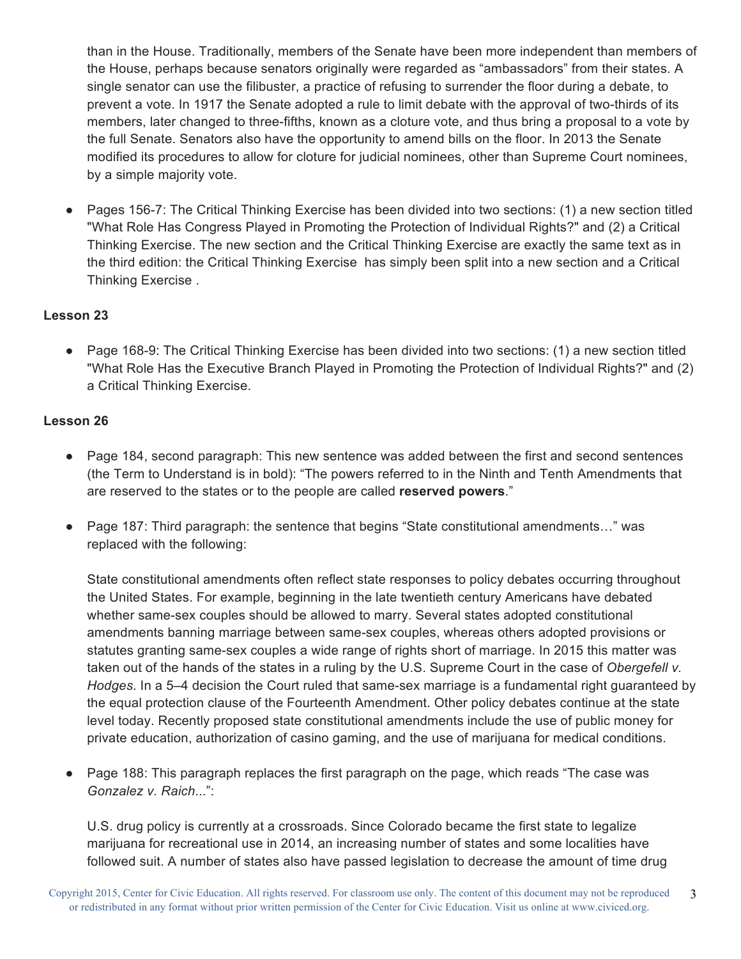than in the House. Traditionally, members of the Senate have been more independent than members of the House, perhaps because senators originally were regarded as "ambassadors" from their states. A single senator can use the filibuster, a practice of refusing to surrender the floor during a debate, to prevent a vote. In 1917 the Senate adopted a rule to limit debate with the approval of two-thirds of its members, later changed to three-fifths, known as a cloture vote, and thus bring a proposal to a vote by the full Senate. Senators also have the opportunity to amend bills on the floor. In 2013 the Senate modified its procedures to allow for cloture for judicial nominees, other than Supreme Court nominees, by a simple majority vote.

Pages 156-7: The Critical Thinking Exercise has been divided into two sections: (1) a new section titled "What Role Has Congress Played in Promoting the Protection of Individual Rights?" and (2) a Critical Thinking Exercise. The new section and the Critical Thinking Exercise are exactly the same text as in the third edition: the Critical Thinking Exercise has simply been split into a new section and a Critical Thinking Exercise .

## **Lesson 23**

● Page 168-9: The Critical Thinking Exercise has been divided into two sections: (1) a new section titled "What Role Has the Executive Branch Played in Promoting the Protection of Individual Rights?" and (2) a Critical Thinking Exercise.

## **Lesson 26**

- Page 184, second paragraph: This new sentence was added between the first and second sentences (the Term to Understand is in bold): "The powers referred to in the Ninth and Tenth Amendments that are reserved to the states or to the people are called **reserved powers**."
- Page 187: Third paragraph: the sentence that begins "State constitutional amendments..." was replaced with the following:

State constitutional amendments often reflect state responses to policy debates occurring throughout the United States. For example, beginning in the late twentieth century Americans have debated whether same-sex couples should be allowed to marry. Several states adopted constitutional amendments banning marriage between same-sex couples, whereas others adopted provisions or statutes granting same-sex couples a wide range of rights short of marriage. In 2015 this matter was taken out of the hands of the states in a ruling by the U.S. Supreme Court in the case of *Obergefell v. Hodges*. In a 5–4 decision the Court ruled that same-sex marriage is a fundamental right guaranteed by the equal protection clause of the Fourteenth Amendment. Other policy debates continue at the state level today. Recently proposed state constitutional amendments include the use of public money for private education, authorization of casino gaming, and the use of marijuana for medical conditions.

Page 188: This paragraph replaces the first paragraph on the page, which reads "The case was *Gonzalez v. Raich*...":

U.S. drug policy is currently at a crossroads. Since Colorado became the first state to legalize marijuana for recreational use in 2014, an increasing number of states and some localities have followed suit. A number of states also have passed legislation to decrease the amount of time drug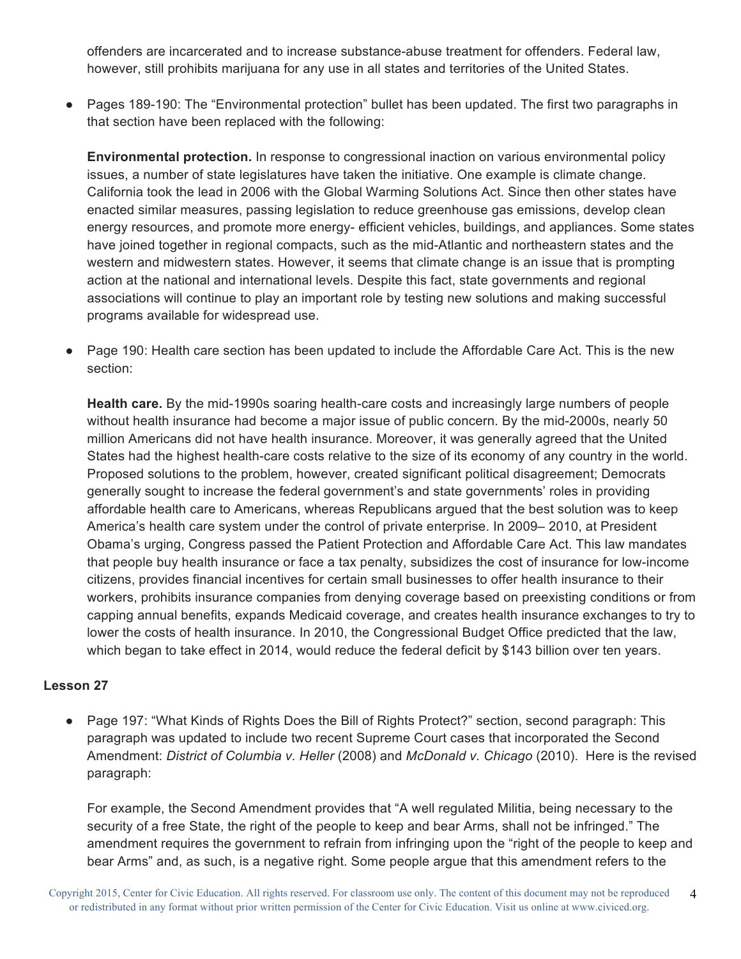offenders are incarcerated and to increase substance-abuse treatment for offenders. Federal law, however, still prohibits marijuana for any use in all states and territories of the United States.

Pages 189-190: The "Environmental protection" bullet has been updated. The first two paragraphs in that section have been replaced with the following:

**Environmental protection.** In response to congressional inaction on various environmental policy issues, a number of state legislatures have taken the initiative. One example is climate change. California took the lead in 2006 with the Global Warming Solutions Act. Since then other states have enacted similar measures, passing legislation to reduce greenhouse gas emissions, develop clean energy resources, and promote more energy- efficient vehicles, buildings, and appliances. Some states have joined together in regional compacts, such as the mid-Atlantic and northeastern states and the western and midwestern states. However, it seems that climate change is an issue that is prompting action at the national and international levels. Despite this fact, state governments and regional associations will continue to play an important role by testing new solutions and making successful programs available for widespread use.

Page 190: Health care section has been updated to include the Affordable Care Act. This is the new section:

**Health care.** By the mid-1990s soaring health-care costs and increasingly large numbers of people without health insurance had become a major issue of public concern. By the mid-2000s, nearly 50 million Americans did not have health insurance. Moreover, it was generally agreed that the United States had the highest health-care costs relative to the size of its economy of any country in the world. Proposed solutions to the problem, however, created significant political disagreement; Democrats generally sought to increase the federal government's and state governments' roles in providing affordable health care to Americans, whereas Republicans argued that the best solution was to keep America's health care system under the control of private enterprise. In 2009– 2010, at President Obama's urging, Congress passed the Patient Protection and Affordable Care Act. This law mandates that people buy health insurance or face a tax penalty, subsidizes the cost of insurance for low-income citizens, provides financial incentives for certain small businesses to offer health insurance to their workers, prohibits insurance companies from denying coverage based on preexisting conditions or from capping annual benefits, expands Medicaid coverage, and creates health insurance exchanges to try to lower the costs of health insurance. In 2010, the Congressional Budget Office predicted that the law, which began to take effect in 2014, would reduce the federal deficit by \$143 billion over ten years.

#### **Lesson 27**

Page 197: "What Kinds of Rights Does the Bill of Rights Protect?" section, second paragraph: This paragraph was updated to include two recent Supreme Court cases that incorporated the Second Amendment: *District of Columbia v. Heller* (2008) and *McDonald v. Chicago* (2010). Here is the revised paragraph:

For example, the Second Amendment provides that "A well regulated Militia, being necessary to the security of a free State, the right of the people to keep and bear Arms, shall not be infringed." The amendment requires the government to refrain from infringing upon the "right of the people to keep and bear Arms" and, as such, is a negative right. Some people argue that this amendment refers to the

Copyright 2015, Center for Civic Education. All rights reserved. For classroom use only. The content of this document may not be reproduced or redistributed in any format without prior written permission of the Center for Civic Education. Visit us online at www.civiced.org. 4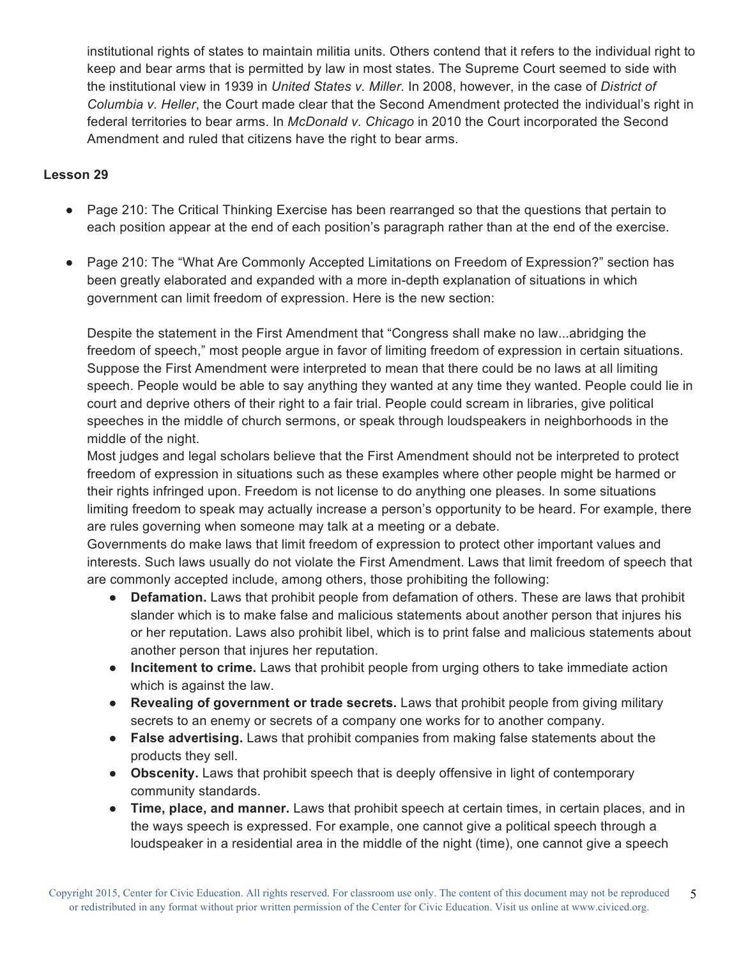institutional rights of states to maintain militia units. Others contend that it refers to the individual right to keep and bear arms that is permitted by law in most states. The Supreme Court seemed to side with the institutional view in 1939 in *United States v. Miller*. In 2008, however, in the case of *District of Columbia v. Heller*, the Court made clear that the Second Amendment protected the individual's right in federal territories to bear arms. In *McDonald v. Chicago* in 2010 the Court incorporated the Second Amendment and ruled that citizens have the right to bear arms.

## **Lesson 29**

- Page 210: The Critical Thinking Exercise has been rearranged so that the questions that pertain to each position appear at the end of each position's paragraph rather than at the end of the exercise.
- Page 210: The "What Are Commonly Accepted Limitations on Freedom of Expression?" section has been greatly elaborated and expanded with a more in-depth explanation of situations in which government can limit freedom of expression. Here is the new section:

Despite the statement in the First Amendment that "Congress shall make no law...abridging the freedom of speech," most people argue in favor of limiting freedom of expression in certain situations. Suppose the First Amendment were interpreted to mean that there could be no laws at all limiting speech. People would be able to say anything they wanted at any time they wanted. People could lie in court and deprive others of their right to a fair trial. People could scream in libraries, give political speeches in the middle of church sermons, or speak through loudspeakers in neighborhoods in the middle of the night.

Most judges and legal scholars believe that the First Amendment should not be interpreted to protect freedom of expression in situations such as these examples where other people might be harmed or their rights infringed upon. Freedom is not license to do anything one pleases. In some situations limiting freedom to speak may actually increase a person's opportunity to be heard. For example, there are rules governing when someone may talk at a meeting or a debate.

Governments do make laws that limit freedom of expression to protect other important values and interests. Such laws usually do not violate the First Amendment. Laws that limit freedom of speech that are commonly accepted include, among others, those prohibiting the following:

- **Defamation.** Laws that prohibit people from defamation of others. These are laws that prohibit slander which is to make false and malicious statements about another person that injures his or her reputation. Laws also prohibit libel, which is to print false and malicious statements about another person that injures her reputation.
- **Incitement to crime.** Laws that prohibit people from urging others to take immediate action which is against the law.
- **Revealing of government or trade secrets.** Laws that prohibit people from giving military secrets to an enemy or secrets of a company one works for to another company.
- **False advertising.** Laws that prohibit companies from making false statements about the products they sell.
- **Obscenity.** Laws that prohibit speech that is deeply offensive in light of contemporary community standards.
- **Time, place, and manner.** Laws that prohibit speech at certain times, in certain places, and in the ways speech is expressed. For example, one cannot give a political speech through a loudspeaker in a residential area in the middle of the night (time), one cannot give a speech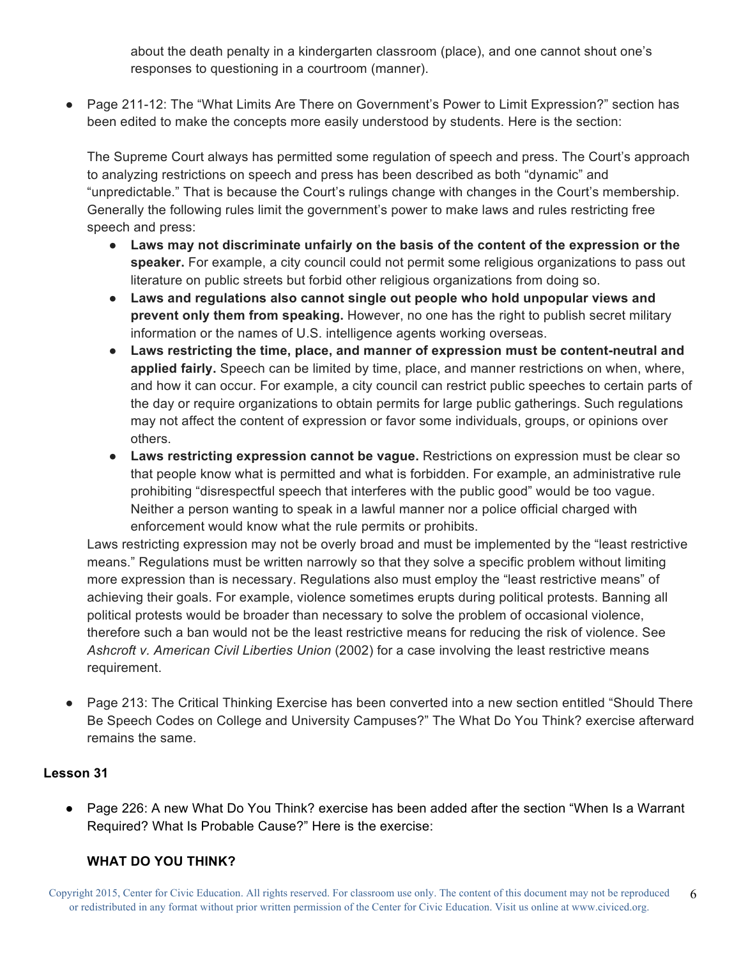about the death penalty in a kindergarten classroom (place), and one cannot shout one's responses to questioning in a courtroom (manner).

Page 211-12: The "What Limits Are There on Government's Power to Limit Expression?" section has been edited to make the concepts more easily understood by students. Here is the section:

The Supreme Court always has permitted some regulation of speech and press. The Court's approach to analyzing restrictions on speech and press has been described as both "dynamic" and "unpredictable." That is because the Court's rulings change with changes in the Court's membership. Generally the following rules limit the government's power to make laws and rules restricting free speech and press:

- **Laws may not discriminate unfairly on the basis of the content of the expression or the speaker.** For example, a city council could not permit some religious organizations to pass out literature on public streets but forbid other religious organizations from doing so.
- **Laws and regulations also cannot single out people who hold unpopular views and prevent only them from speaking.** However, no one has the right to publish secret military information or the names of U.S. intelligence agents working overseas.
- **Laws restricting the time, place, and manner of expression must be content-neutral and applied fairly.** Speech can be limited by time, place, and manner restrictions on when, where, and how it can occur. For example, a city council can restrict public speeches to certain parts of the day or require organizations to obtain permits for large public gatherings. Such regulations may not affect the content of expression or favor some individuals, groups, or opinions over others.
- **Laws restricting expression cannot be vague.** Restrictions on expression must be clear so that people know what is permitted and what is forbidden. For example, an administrative rule prohibiting "disrespectful speech that interferes with the public good" would be too vague. Neither a person wanting to speak in a lawful manner nor a police official charged with enforcement would know what the rule permits or prohibits.

Laws restricting expression may not be overly broad and must be implemented by the "least restrictive means." Regulations must be written narrowly so that they solve a specific problem without limiting more expression than is necessary. Regulations also must employ the "least restrictive means" of achieving their goals. For example, violence sometimes erupts during political protests. Banning all political protests would be broader than necessary to solve the problem of occasional violence, therefore such a ban would not be the least restrictive means for reducing the risk of violence. See *Ashcroft v. American Civil Liberties Union* (2002) for a case involving the least restrictive means requirement.

Page 213: The Critical Thinking Exercise has been converted into a new section entitled "Should There" Be Speech Codes on College and University Campuses?" The What Do You Think? exercise afterward remains the same.

## **Lesson 31**

Page 226: A new What Do You Think? exercise has been added after the section "When Is a Warrant Required? What Is Probable Cause?" Here is the exercise:

# **WHAT DO YOU THINK?**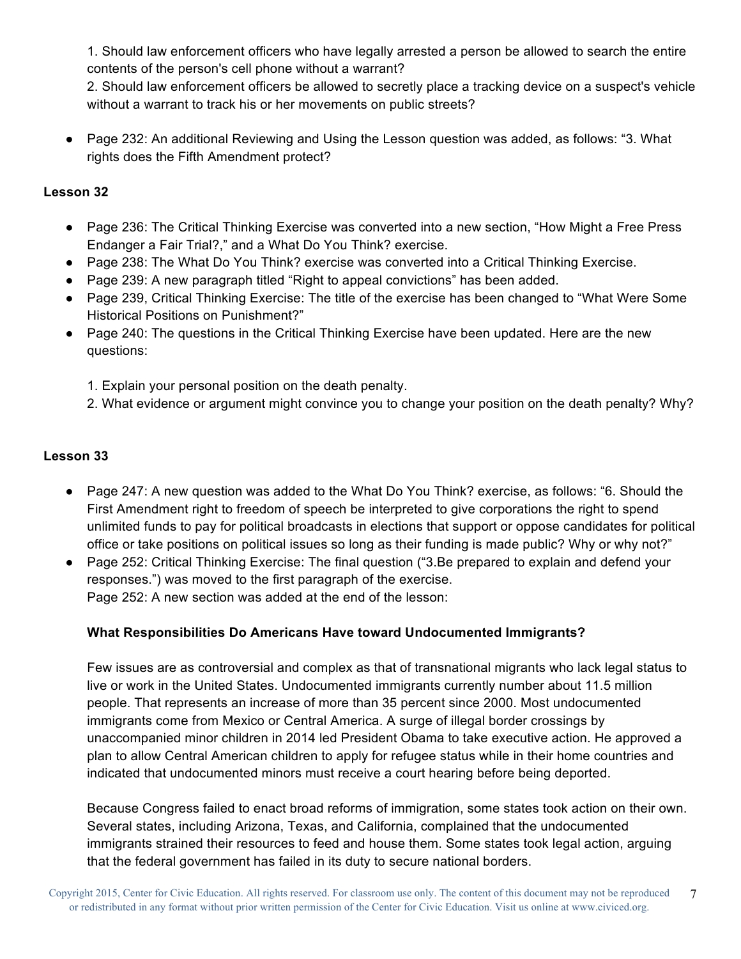1. Should law enforcement officers who have legally arrested a person be allowed to search the entire contents of the person's cell phone without a warrant?

2. Should law enforcement officers be allowed to secretly place a tracking device on a suspect's vehicle without a warrant to track his or her movements on public streets?

● Page 232: An additional Reviewing and Using the Lesson question was added, as follows: "3. What rights does the Fifth Amendment protect?

# **Lesson 32**

- Page 236: The Critical Thinking Exercise was converted into a new section, "How Might a Free Press Endanger a Fair Trial?," and a What Do You Think? exercise.
- Page 238: The What Do You Think? exercise was converted into a Critical Thinking Exercise.
- Page 239: A new paragraph titled "Right to appeal convictions" has been added.
- Page 239, Critical Thinking Exercise: The title of the exercise has been changed to "What Were Some Historical Positions on Punishment?"
- Page 240: The questions in the Critical Thinking Exercise have been updated. Here are the new questions:
	- 1. Explain your personal position on the death penalty.
	- 2. What evidence or argument might convince you to change your position on the death penalty? Why?

# **Lesson 33**

- Page 247: A new question was added to the What Do You Think? exercise, as follows: "6. Should the First Amendment right to freedom of speech be interpreted to give corporations the right to spend unlimited funds to pay for political broadcasts in elections that support or oppose candidates for political office or take positions on political issues so long as their funding is made public? Why or why not?"
- Page 252: Critical Thinking Exercise: The final question ("3.Be prepared to explain and defend your responses.") was moved to the first paragraph of the exercise. Page 252: A new section was added at the end of the lesson:

## **What Responsibilities Do Americans Have toward Undocumented Immigrants?**

Few issues are as controversial and complex as that of transnational migrants who lack legal status to live or work in the United States. Undocumented immigrants currently number about 11.5 million people. That represents an increase of more than 35 percent since 2000. Most undocumented immigrants come from Mexico or Central America. A surge of illegal border crossings by unaccompanied minor children in 2014 led President Obama to take executive action. He approved a plan to allow Central American children to apply for refugee status while in their home countries and indicated that undocumented minors must receive a court hearing before being deported.

Because Congress failed to enact broad reforms of immigration, some states took action on their own. Several states, including Arizona, Texas, and California, complained that the undocumented immigrants strained their resources to feed and house them. Some states took legal action, arguing that the federal government has failed in its duty to secure national borders.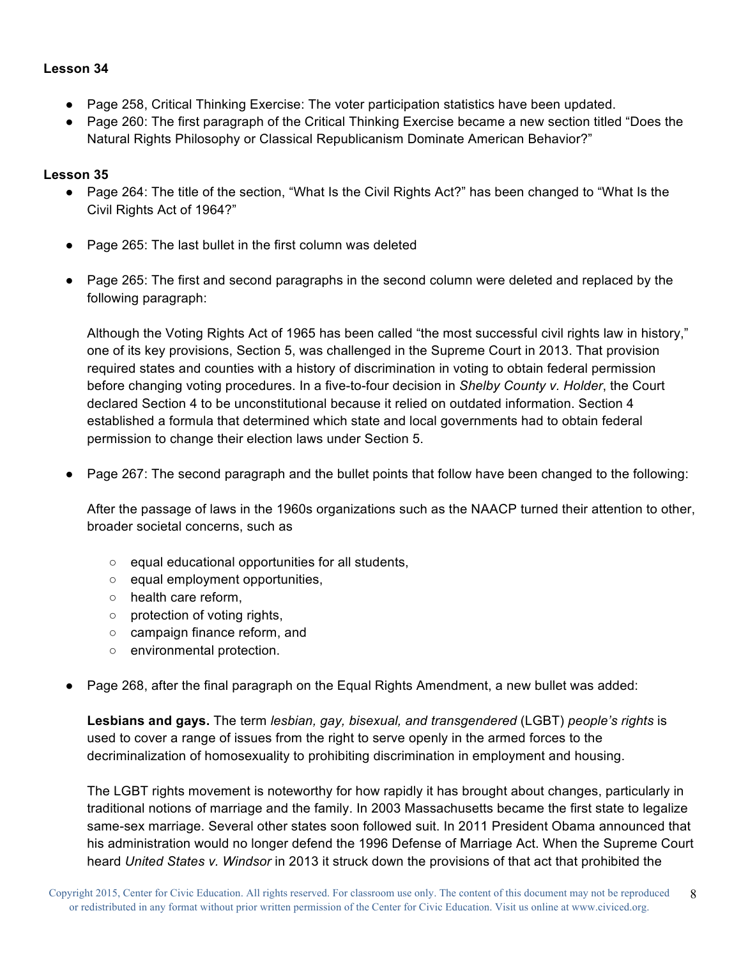### **Lesson 34**

- Page 258, Critical Thinking Exercise: The voter participation statistics have been updated.
- Page 260: The first paragraph of the Critical Thinking Exercise became a new section titled "Does the Natural Rights Philosophy or Classical Republicanism Dominate American Behavior?"

### **Lesson 35**

- Page 264: The title of the section, "What Is the Civil Rights Act?" has been changed to "What Is the Civil Rights Act of 1964?"
- Page 265: The last bullet in the first column was deleted
- Page 265: The first and second paragraphs in the second column were deleted and replaced by the following paragraph:

Although the Voting Rights Act of 1965 has been called "the most successful civil rights law in history," one of its key provisions, Section 5, was challenged in the Supreme Court in 2013. That provision required states and counties with a history of discrimination in voting to obtain federal permission before changing voting procedures. In a five-to-four decision in *Shelby County v. Holder*, the Court declared Section 4 to be unconstitutional because it relied on outdated information. Section 4 established a formula that determined which state and local governments had to obtain federal permission to change their election laws under Section 5.

Page 267: The second paragraph and the bullet points that follow have been changed to the following:

After the passage of laws in the 1960s organizations such as the NAACP turned their attention to other, broader societal concerns, such as

- equal educational opportunities for all students,
- equal employment opportunities,
- health care reform,
- protection of voting rights,
- campaign finance reform, and
- environmental protection.
- Page 268, after the final paragraph on the Equal Rights Amendment, a new bullet was added:

**Lesbians and gays.** The term *lesbian, gay, bisexual, and transgendered* (LGBT) *people's rights* is used to cover a range of issues from the right to serve openly in the armed forces to the decriminalization of homosexuality to prohibiting discrimination in employment and housing.

The LGBT rights movement is noteworthy for how rapidly it has brought about changes, particularly in traditional notions of marriage and the family. In 2003 Massachusetts became the first state to legalize same-sex marriage. Several other states soon followed suit. In 2011 President Obama announced that his administration would no longer defend the 1996 Defense of Marriage Act. When the Supreme Court heard *United States v. Windsor* in 2013 it struck down the provisions of that act that prohibited the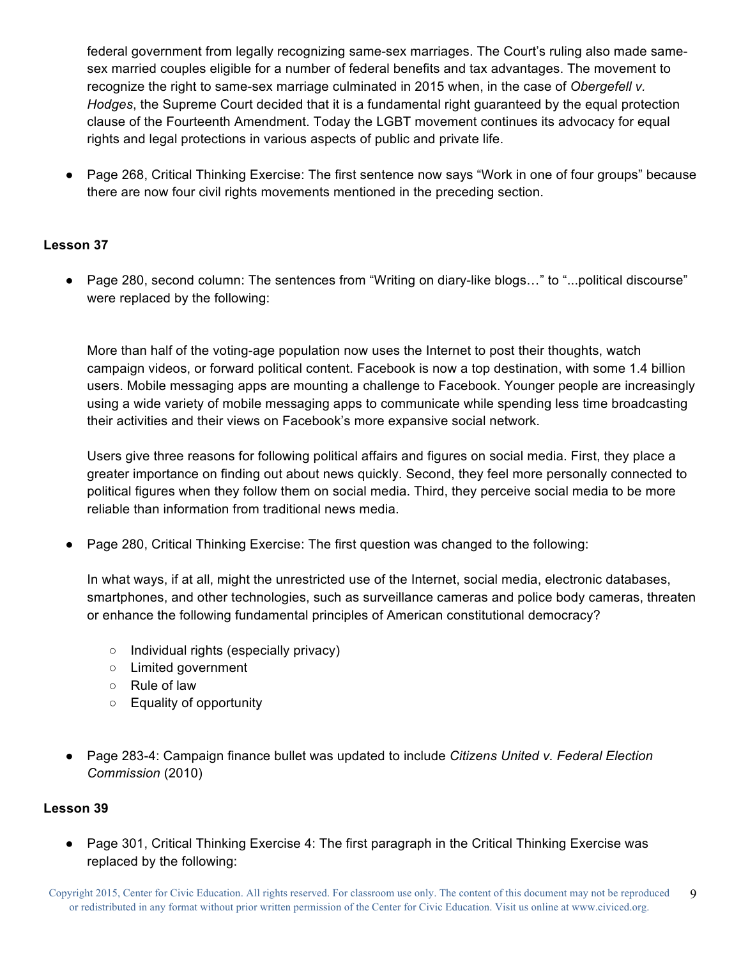federal government from legally recognizing same-sex marriages. The Court's ruling also made samesex married couples eligible for a number of federal benefits and tax advantages. The movement to recognize the right to same-sex marriage culminated in 2015 when, in the case of *Obergefell v. Hodges*, the Supreme Court decided that it is a fundamental right guaranteed by the equal protection clause of the Fourteenth Amendment. Today the LGBT movement continues its advocacy for equal rights and legal protections in various aspects of public and private life.

● Page 268, Critical Thinking Exercise: The first sentence now says "Work in one of four groups" because there are now four civil rights movements mentioned in the preceding section.

## **Lesson 37**

● Page 280, second column: The sentences from "Writing on diary-like blogs..." to "...political discourse" were replaced by the following:

More than half of the voting-age population now uses the Internet to post their thoughts, watch campaign videos, or forward political content. Facebook is now a top destination, with some 1.4 billion users. Mobile messaging apps are mounting a challenge to Facebook. Younger people are increasingly using a wide variety of mobile messaging apps to communicate while spending less time broadcasting their activities and their views on Facebook's more expansive social network.

Users give three reasons for following political affairs and figures on social media. First, they place a greater importance on finding out about news quickly. Second, they feel more personally connected to political figures when they follow them on social media. Third, they perceive social media to be more reliable than information from traditional news media.

Page 280, Critical Thinking Exercise: The first question was changed to the following:

In what ways, if at all, might the unrestricted use of the Internet, social media, electronic databases, smartphones, and other technologies, such as surveillance cameras and police body cameras, threaten or enhance the following fundamental principles of American constitutional democracy?

- Individual rights (especially privacy)
- Limited government
- Rule of law
- Equality of opportunity
- Page 283-4: Campaign finance bullet was updated to include *Citizens United v. Federal Election Commission* (2010)

#### **Lesson 39**

● Page 301, Critical Thinking Exercise 4: The first paragraph in the Critical Thinking Exercise was replaced by the following: